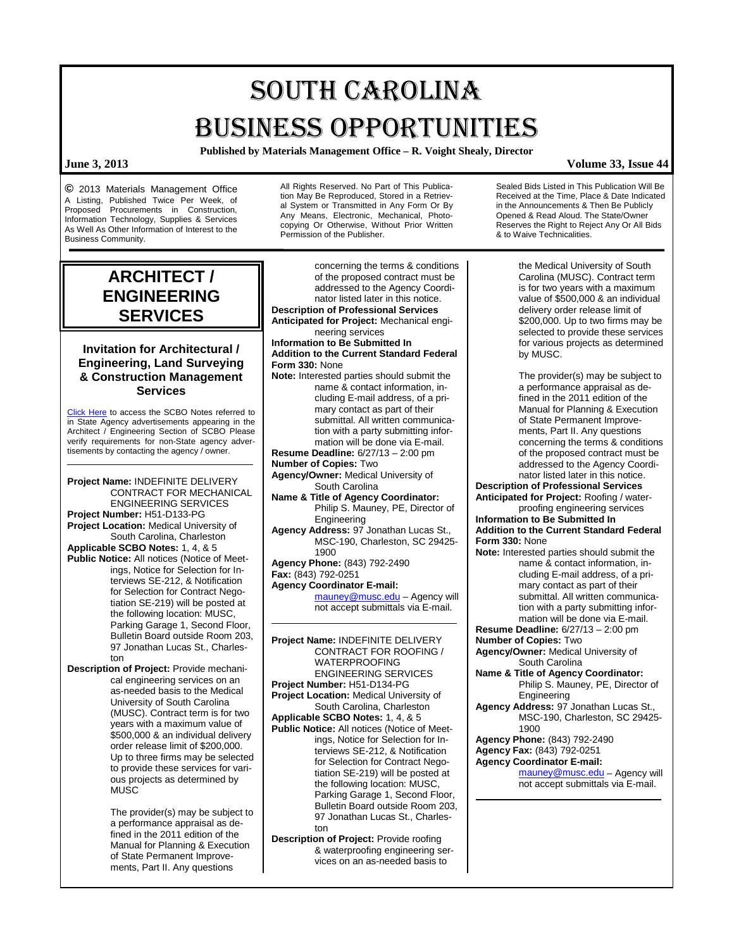# SOUTH CAROLINA BUSINESS OPPORTUNITIES

**Published by Materials Management Office – R. Voight Shealy, Director**

**©** 2013 Materials Management Office A Listing, Published Twice Per Week, of Proposed Procurements in Construction, Information Technology, Supplies & Services As Well As Other Information of Interest to the Business Community.

All Rights Reserved. No Part of This Publication May Be Reproduced, Stored in a Retrieval System or Transmitted in Any Form Or By Any Means, Electronic, Mechanical, Photocopying Or Otherwise, Without Prior Written Permission of the Publisher.

Sealed Bids Listed in This Publication Will Be Received at the Time, Place & Date Indicated in the Announcements & Then Be Publicly Opened & Read Aloud. The State/Owner Reserves the Right to Reject Any Or All Bids & to Waive Technicalities.

## **ARCHITECT / ENGINEERING SERVICES**

### **Invitation for Architectural / Engineering, Land Surveying & Construction Management Services**

[Click Here](http://www.mmo.sc.gov/PS/general/scbo/SCBO_Notes_060512.pdf) to access the SCBO Notes referred to in State Agency advertisements appearing in the Architect / Engineering Section of SCBO Please verify requirements for non-State agency advertisements by contacting the agency / owner.

**Project Name:** INDEFINITE DELIVERY CONTRACT FOR MECHANICAL ENGINEERING SERVICES **Project Number:** H51-D133-PG **Project Location:** Medical University of South Carolina, Charleston **Applicable SCBO Notes:** 1, 4, & 5 **Public Notice:** All notices (Notice of Meetings, Notice for Selection for Interviews SE-212, & Notification for Selection for Contract Negotiation SE-219) will be posted at

the following location: MUSC, Parking Garage 1, Second Floor, Bulletin Board outside Room 203, 97 Jonathan Lucas St., Charleston **Description of Project:** Provide mechanical engineering services on an as-needed basis to the Medical University of South Carolina (MUSC). Contract term is for two

years with a maximum value of \$500,000 & an individual delivery order release limit of \$200,000. Up to three firms may be selected to provide these services for various projects as determined by MUSC

The provider(s) may be subject to a performance appraisal as defined in the 2011 edition of the Manual for Planning & Execution of State Permanent Improvements, Part II. Any questions

concerning the terms & conditions of the proposed contract must be addressed to the Agency Coordinator listed later in this notice. **Description of Professional Services Anticipated for Project:** Mechanical engineering services **Information to Be Submitted In Addition to the Current Standard Federal Form 330:** None **Note:** Interested parties should submit the name & contact information, including E-mail address, of a primary contact as part of their submittal. All written communication with a party submitting information will be done via E-mail. **Resume Deadline:** 6/27/13 – 2:00 pm **Number of Copies:** Two **Agency/Owner:** Medical University of South Carolina **Name & Title of Agency Coordinator:** Philip S. Mauney, PE, Director of Engineering **Agency Address:** 97 Jonathan Lucas St., MSC-190, Charleston, SC 29425- 1900 **Agency Phone:** (843) 792-2490 **Fax:** (843) 792-0251 **Agency Coordinator E-mail:** [mauney@musc.edu](mailto:mauney@musc.edu) – Agency will not accept submittals via E-mail. **Project Name:** INDEFINITE DELIVERY CONTRACT FOR ROOFING / WATERPROOFING ENGINEERING SERVICES **Project Number:** H51-D134-PG **Project Location:** Medical University of South Carolina, Charleston **Applicable SCBO Notes:** 1, 4, & 5 **Public Notice:** All notices (Notice of Meetings, Notice for Selection for Interviews SE-212, & Notification for Selection for Contract Negotiation SE-219) will be posted at the following location: MUSC, Parking Garage 1, Second Floor, Bulletin Board outside Room 203, 97 Jonathan Lucas St., Charleston **Description of Project:** Provide roofing

> & waterproofing engineering services on an as-needed basis to

the Medical University of South Carolina (MUSC). Contract term is for two years with a maximum value of \$500,000 & an individual delivery order release limit of \$200,000. Up to two firms may be selected to provide these services for various projects as determined by MUSC.

The provider(s) may be subject to a performance appraisal as defined in the 2011 edition of the Manual for Planning & Execution of State Permanent Improvements, Part II. Any questions concerning the terms & conditions of the proposed contract must be addressed to the Agency Coordinator listed later in this notice.

**Description of Professional Services Anticipated for Project:** Roofing / water-

proofing engineering services **Information to Be Submitted In Addition to the Current Standard Federal Form 330:** None

**Note:** Interested parties should submit the name & contact information, including E-mail address, of a primary contact as part of their submittal. All written communication with a party submitting information will be done via E-mail.

**Resume Deadline:** 6/27/13 – 2:00 pm **Number of Copies:** Two

- **Agency/Owner:** Medical University of South Carolina
- **Name & Title of Agency Coordinator:** Philip S. Mauney, PE, Director of Engineering
- **Agency Address:** 97 Jonathan Lucas St., MSC-190, Charleston, SC 29425- 1900
- **Agency Phone:** (843) 792-2490

#### **Agency Fax:** (843) 792-0251 **Agency Coordinator E-mail:**

[mauney@musc.edu](mailto:mauney@musc.edu) – Agency will not accept submittals via E-mail.

**June 3, 2013 Volume 33, Issue 44**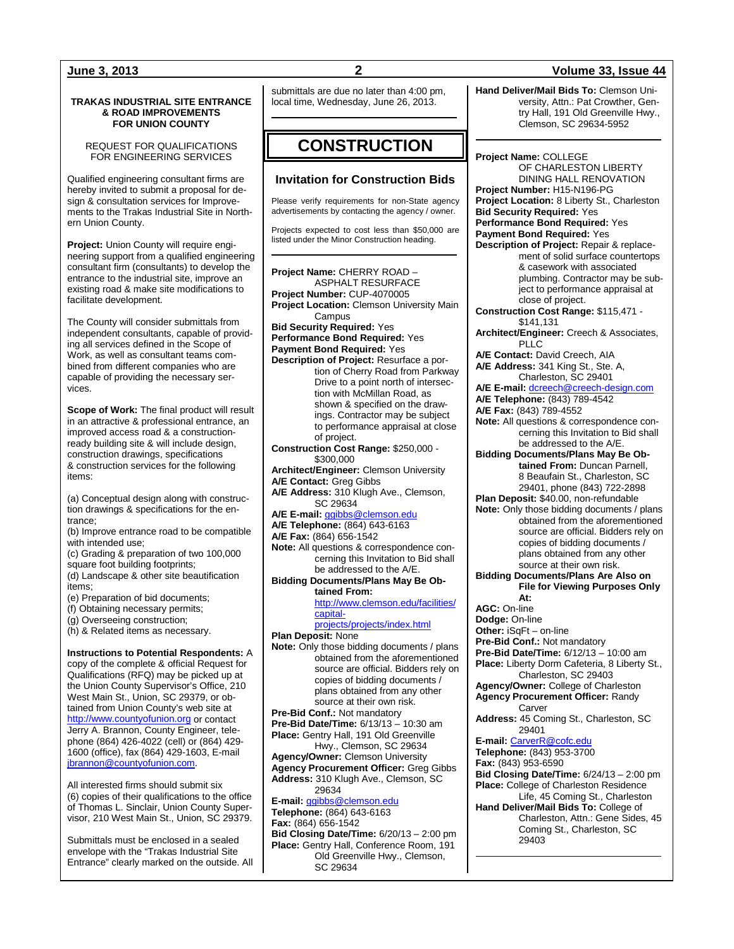#### **TRAKAS INDUSTRIAL SITE ENTRANCE & ROAD IMPROVEMENTS FOR UNION COUNTY**

REQUEST FOR QUALIFICATIONS FOR ENGINEERING SERVICES

Qualified engineering consultant firms are hereby invited to submit a proposal for design & consultation services for Improvements to the Trakas Industrial Site in Northern Union County.

**Project:** Union County will require engineering support from a qualified engineering consultant firm (consultants) to develop the entrance to the industrial site, improve an existing road & make site modifications to facilitate development.

The County will consider submittals from independent consultants, capable of providing all services defined in the Scope of Work, as well as consultant teams combined from different companies who are capable of providing the necessary services.

**Scope of Work:** The final product will result in an attractive & professional entrance, an improved access road & a constructionready building site & will include design, construction drawings, specifications & construction services for the following items:

(a) Conceptual design along with construction drawings & specifications for the entrance;

- (b) Improve entrance road to be compatible with intended use;
- (c) Grading & preparation of two 100,000 square foot building footprints;
- (d) Landscape & other site beautification items;
- (e) Preparation of bid documents;
- (f) Obtaining necessary permits;
- (g) Overseeing construction;

(h) & Related items as necessary.

**Instructions to Potential Respondents:** A copy of the complete & official Request for Qualifications (RFQ) may be picked up at the Union County Supervisor's Office, 210 West Main St., Union, SC 29379, or obtained from Union County's web site at [http://www.countyofunion.org](http://www.countyofunion.org/) or contact Jerry A. Brannon, County Engineer, telephone (864) 426-4022 (cell) or (864) 429- 1600 (office), fax (864) 429-1603, E-mail [jbrannon@countyofunion.com.](mailto:jbrannon@countyofunion.com) 

All interested firms should submit six (6) copies of their qualifications to the office of Thomas L. Sinclair, Union County Supervisor, 210 West Main St., Union, SC 29379.

Submittals must be enclosed in a sealed envelope with the "Trakas Industrial Site Entrance" clearly marked on the outside. All submittals are due no later than 4:00 pm, local time, Wednesday, June 26, 2013.

## **CONSTRUCTION**

### **Invitation for Construction Bids**

Please verify requirements for non-State agency advertisements by contacting the agency / owner.

Projects expected to cost less than \$50,000 are listed under the Minor Construction heading.

**Project Name:** CHERRY ROAD – ASPHALT RESURFACE **Project Number:** CUP-4070005 **Project Location:** Clemson University Main Campus **Bid Security Required:** Yes **Performance Bond Required:** Yes **Payment Bond Required:** Yes **Description of Project:** Resurface a portion of Cherry Road from Parkway Drive to a point north of intersection with McMillan Road, as shown & specified on the drawings. Contractor may be subject to performance appraisal at close of project. **Construction Cost Range:** \$250,000 - \$300,000 **Architect/Engineer:** Clemson University **A/E Contact:** Greg Gibbs **A/E Address:** 310 Klugh Ave., Clemson, SC 29634 **A/E E-mail:** [ggibbs@clemson.edu](mailto:ggibbs@clemson.edu) **A/E Telephone:** (864) 643-6163 **A/E Fax:** (864) 656-1542 **Note:** All questions & correspondence concerning this Invitation to Bid shall be addressed to the A/E. **Bidding Documents/Plans May Be Obtained From:** [http://www.clemson.edu/facilities/](http://www.clemson.edu/facilities/capital-projects/projects/index.html) [capital](http://www.clemson.edu/facilities/capital-projects/projects/index.html)[projects/projects/index.html](http://www.clemson.edu/facilities/capital-projects/projects/index.html) **Plan Deposit:** None **Note:** Only those bidding documents / plans obtained from the aforementioned source are official. Bidders rely on copies of bidding documents / plans obtained from any other source at their own risk. **Pre-Bid Conf.:** Not mandatory **Pre-Bid Date/Time:** 6/13/13 – 10:30 am **Place:** Gentry Hall, 191 Old Greenville Hwy., Clemson, SC 29634 **Agency/Owner:** Clemson University **Agency Procurement Officer:** Greg Gibbs **Address:** 310 Klugh Ave., Clemson, SC 29634 **E-mail:** [ggibbs@clemson.edu](mailto:ggibbs@clemson.edu) **Telephone:** (864) 643-6163 **Fax:** (864) 656-1542 **Bid Closing Date/Time:** 6/20/13 – 2:00 pm **Place:** Gentry Hall, Conference Room, 191 Old Greenville Hwy., Clemson,

SC 29634

### **June 3, 2013 2 Volume 33, Issue 44**

**Hand Deliver/Mail Bids To:** Clemson University, Attn.: Pat Crowther, Gentry Hall, 191 Old Greenville Hwy., Clemson, SC 29634-5952

**Project Name:** COLLEGE OF CHARLESTON LIBERTY DINING HALL RENOVATION **Project Number:** H15-N196-PG **Project Location:** 8 Liberty St., Charleston **Bid Security Required:** Yes **Performance Bond Required:** Yes **Payment Bond Required:** Yes **Description of Project:** Repair & replacement of solid surface countertops & casework with associated plumbing. Contractor may be subject to performance appraisal at close of project. **Construction Cost Range:** \$115,471 - \$141,131 **Architect/Engineer:** Creech & Associates, PLLC **A/E Contact:** David Creech, AIA **A/E Address:** 341 King St., Ste. A, Charleston, SC 29401 **A/E E-mail:** [dcreech@creech-design.com](mailto:dcreech@creech-design.com) **A/E Telephone:** (843) 789-4542 **A/E Fax:** (843) 789-4552 **Note:** All questions & correspondence concerning this Invitation to Bid shall be addressed to the A/E. **Bidding Documents/Plans May Be Obtained From:** Duncan Parnell, 8 Beaufain St., Charleston, SC 29401, phone (843) 722-2898 **Plan Deposit:** \$40.00, non-refundable **Note:** Only those bidding documents / plans obtained from the aforementioned source are official. Bidders rely on copies of bidding documents / plans obtained from any other source at their own risk. **Bidding Documents/Plans Are Also on File for Viewing Purposes Only At: AGC:** On-line **Dodge:** On-line **Other:** iSqFt – on-line **Pre-Bid Conf.:** Not mandatory **Pre-Bid Date/Time:** 6/12/13 – 10:00 am **Place:** Liberty Dorm Cafeteria, 8 Liberty St., Charleston, SC 29403 **Agency/Owner:** College of Charleston **Agency Procurement Officer:** Randy Carver **Address:** 45 Coming St., Charleston, SC 29401 **E-mail:** [CarverR@cofc.edu](mailto:CarverR@cofc.edu) **Telephone:** (843) 953-3700 **Fax:** (843) 953-6590 **Bid Closing Date/Time:** 6/24/13 – 2:00 pm **Place:** College of Charleston Residence Life, 45 Coming St., Charleston **Hand Deliver/Mail Bids To:** College of Charleston, Attn.: Gene Sides, 45 Coming St., Charleston, SC 29403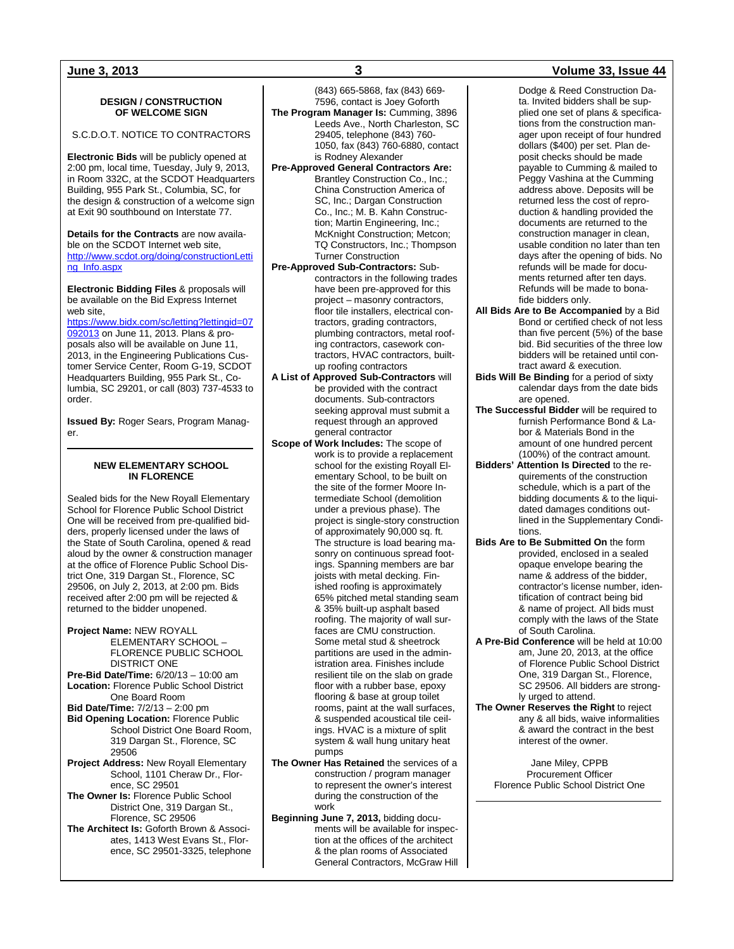### **DESIGN / CONSTRUCTION OF WELCOME SIGN**

### S.C.D.O.T. NOTICE TO CONTRACTORS

**Electronic Bids** will be publicly opened at 2:00 pm, local time, Tuesday, July 9, 2013, in Room 332C, at the SCDOT Headquarters Building, 955 Park St., Columbia, SC, for the design & construction of a welcome sign at Exit 90 southbound on Interstate 77.

**Details for the Contracts** are now available on the SCDOT Internet web site, [http://www.scdot.org/doing/constructionLetti](http://www.scdot.org/doing/constructionLetting_Info.aspx) [ng\\_Info.aspx](http://www.scdot.org/doing/constructionLetting_Info.aspx)

**Electronic Bidding Files** & proposals will be available on the Bid Express Internet web site,

[https://www.bidx.com/sc/letting?lettingid=07](https://www.bidx.com/sc/letting?lettingid=07092013) [092013](https://www.bidx.com/sc/letting?lettingid=07092013) on June 11, 2013. Plans & proposals also will be available on June 11, 2013, in the Engineering Publications Customer Service Center, Room G-19, SCDOT Headquarters Building, 955 Park St., Columbia, SC 29201, or call (803) 737-4533 to order.

**Issued By:** Roger Sears, Program Manager.

#### **NEW ELEMENTARY SCHOOL IN FLORENCE**

Sealed bids for the New Royall Elementary School for Florence Public School District One will be received from pre-qualified bidders, properly licensed under the laws of the State of South Carolina, opened & read aloud by the owner & construction manager at the office of Florence Public School District One, 319 Dargan St., Florence, SC 29506, on July 2, 2013, at 2:00 pm. Bids received after 2:00 pm will be rejected & returned to the bidder unopened.

- **Project Name:** NEW ROYALL ELEMENTARY SCHOOL – FLORENCE PUBLIC SCHOOL DISTRICT ONE
- **Pre-Bid Date/Time:** 6/20/13 10:00 am **Location:** Florence Public School District One Board Room
- **Bid Date/Time:** 7/2/13 2:00 pm **Bid Opening Location:** Florence Public School District One Board Room, 319 Dargan St., Florence, SC 29506
- **Project Address:** New Royall Elementary School, 1101 Cheraw Dr., Florence, SC 29501
- **The Owner Is:** Florence Public School District One, 319 Dargan St., Florence, SC 29506

**The Architect Is:** Goforth Brown & Associates, 1413 West Evans St., Florence, SC 29501-3325, telephone

(843) 665-5868, fax (843) 669- 7596, contact is Joey Goforth **The Program Manager Is:** Cumming, 3896 Leeds Ave., North Charleston, SC 29405, telephone (843) 760- 1050, fax (843) 760-6880, contact is Rodney Alexander

- **Pre-Approved General Contractors Are:** Brantley Construction Co., Inc.; China Construction America of SC, Inc.: Dargan Construction Co., Inc.; M. B. Kahn Construction; Martin Engineering, Inc.; McKnight Construction; Metcon; TQ Constructors, Inc.; Thompson Turner Construction
- **Pre-Approved Sub-Contractors:** Subcontractors in the following trades have been pre-approved for this project – masonry contractors, floor tile installers, electrical contractors, grading contractors, plumbing contractors, metal roofing contractors, casework contractors, HVAC contractors, builtup roofing contractors
- **A List of Approved Sub-Contractors** will be provided with the contract documents. Sub-contractors seeking approval must submit a request through an approved general contractor
- **Scope of Work Includes:** The scope of work is to provide a replacement school for the existing Royall Elementary School, to be built on the site of the former Moore Intermediate School (demolition under a previous phase). The project is single-story construction of approximately 90,000 sq. ft. The structure is load bearing masonry on continuous spread footings. Spanning members are bar joists with metal decking. Finished roofing is approximately 65% pitched metal standing seam & 35% built-up asphalt based roofing. The majority of wall surfaces are CMU construction. Some metal stud & sheetrock partitions are used in the administration area. Finishes include resilient tile on the slab on grade floor with a rubber base, epoxy flooring & base at group toilet rooms, paint at the wall surfaces, & suspended acoustical tile ceilings. HVAC is a mixture of split system & wall hung unitary heat pumps
- **The Owner Has Retained** the services of a construction / program manager to represent the owner's interest during the construction of the work
- **Beginning June 7, 2013,** bidding documents will be available for inspection at the offices of the architect & the plan rooms of Associated General Contractors, McGraw Hill

Dodge & Reed Construction Data. Invited bidders shall be supplied one set of plans & specifications from the construction manager upon receipt of four hundred dollars (\$400) per set. Plan deposit checks should be made payable to Cumming & mailed to Peggy Vashina at the Cumming address above. Deposits will be returned less the cost of reproduction & handling provided the documents are returned to the construction manager in clean, usable condition no later than ten days after the opening of bids. No refunds will be made for documents returned after ten days. Refunds will be made to bonafide bidders only.

- **All Bids Are to Be Accompanied** by a Bid Bond or certified check of not less than five percent (5%) of the base bid. Bid securities of the three low bidders will be retained until contract award & execution.
- **Bids Will Be Binding** for a period of sixty calendar days from the date bids are opened.
- **The Successful Bidder** will be required to furnish Performance Bond & Labor & Materials Bond in the amount of one hundred percent (100%) of the contract amount.
- **Bidders' Attention Is Directed** to the requirements of the construction schedule, which is a part of the bidding documents & to the liquidated damages conditions outlined in the Supplementary Conditions.
- **Bids Are to Be Submitted On** the form provided, enclosed in a sealed opaque envelope bearing the name & address of the bidder, contractor's license number, identification of contract being bid & name of project. All bids must comply with the laws of the State of South Carolina.
- **A Pre-Bid Conference** will be held at 10:00 am, June 20, 2013, at the office of Florence Public School District One, 319 Dargan St., Florence, SC 29506. All bidders are strongly urged to attend.
- **The Owner Reserves the Right** to reject any & all bids, waive informalities & award the contract in the best interest of the owner.

Jane Miley, CPPB Procurement Officer Florence Public School District One

### **June 3, 2013 3 Volume 33, Issue 44**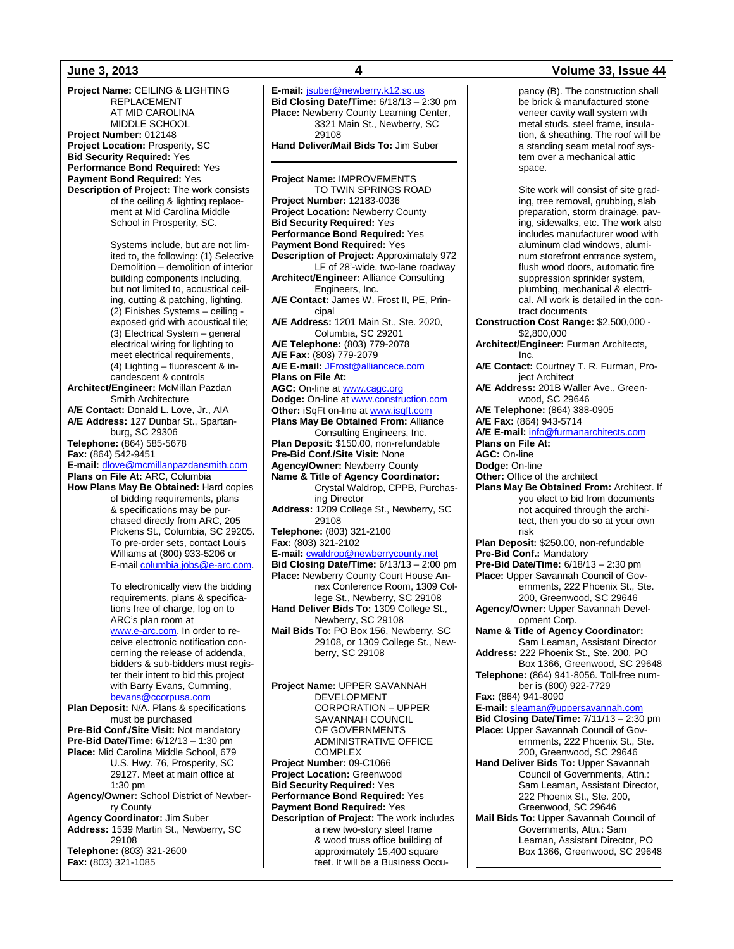**Project Name:** CEILING & LIGHTING REPLACEMENT AT MID CAROLINA MIDDLE SCHOOL **Project Number:** 012148 **Project Location:** Prosperity, SC **Bid Security Required:** Yes **Performance Bond Required:** Yes **Payment Bond Required:** Yes **Description of Project:** The work consists of the ceiling & lighting replacement at Mid Carolina Middle School in Prosperity, SC. Systems include, but are not limited to, the following: (1) Selective Demolition – demolition of interior building components including, but not limited to, acoustical ceiling, cutting & patching, lighting. (2) Finishes Systems – ceiling exposed grid with acoustical tile; (3) Electrical System – general electrical wiring for lighting to meet electrical requirements, (4) Lighting – fluorescent & incandescent & controls **Architect/Engineer:** McMillan Pazdan Smith Architecture **A/E Contact:** Donald L. Love, Jr., AIA **A/E Address:** 127 Dunbar St., Spartanburg, SC 29306 **Telephone:** (864) 585-5678 **Fax:** (864) 542-9451 **E-mail:** [dlove@mcmillanpazdansmith.com](mailto:dlove@mcmillanpazdansmith.com) **Plans on File At:** ARC, Columbia **How Plans May Be Obtained:** Hard copies of bidding requirements, plans & specifications may be purchased directly from ARC, 205 Pickens St., Columbia, SC 29205. To pre-order sets, contact Louis Williams at (800) 933-5206 or E-mail [columbia.jobs@e-arc.com.](mailto:columbia.jobs@e-arc.com)  To electronically view the bidding requirements, plans & specifications free of charge, log on to ARC's plan room at [www.e-arc.com.](http://www.e-arc.com/) In order to receive electronic notification concerning the release of addenda, bidders & sub-bidders must register their intent to bid this project with Barry Evans, Cumming, [bevans@ccorpusa.com](mailto:bevans@ccorpusa.com)  **Plan Deposit:** N/A. Plans & specifications must be purchased **Pre-Bid Conf./Site Visit:** Not mandatory **Pre-Bid Date/Time:** 6/12/13 – 1:30 pm **Place:** Mid Carolina Middle School, 679 U.S. Hwy. 76, Prosperity, SC 29127. Meet at main office at 1:30 pm **Agency/Owner:** School District of Newberry County **Agency Coordinator:** Jim Suber **Address:** 1539 Martin St., Newberry, SC 29108 **Telephone:** (803) 321-2600 **Fax:** (803) 321-1085

**E-mail:** [jsuber@newberry.k12.sc.us](mailto:jsuber@newberry.k12.sc.us) **Bid Closing Date/Time:** 6/18/13 – 2:30 pm **Place:** Newberry County Learning Center, 3321 Main St., Newberry, SC 29108 **Hand Deliver/Mail Bids To:** Jim Suber **Project Name:** IMPROVEMENTS TO TWIN SPRINGS ROAD **Project Number:** 12183-0036 **Project Location:** Newberry County **Bid Security Required:** Yes **Performance Bond Required:** Yes **Payment Bond Required:** Yes **Description of Project:** Approximately 972 LF of 28'-wide, two-lane roadway **Architect/Engineer:** Alliance Consulting Engineers, Inc. **A/E Contact:** James W. Frost II, PE, Principal **A/E Address:** 1201 Main St., Ste. 2020, Columbia, SC 29201 **A/E Telephone:** (803) 779-2078 **A/E Fax:** (803) 779-2079 **A/E E-mail:** [JFrost@alliancece.com](mailto:JFrost@alliancece.com) **Plans on File At: AGC:** On-line at [www.cagc.org](http://www.cagc.org/) **Dodge:** On-line a[t www.construction.com](http://www.construction.com/) **Other:** iSqFt on-line a[t www.isqft.com](http://www.isqft.com/) **Plans May Be Obtained From:** Alliance Consulting Engineers, Inc. **Plan Deposit:** \$150.00, non-refundable **Pre-Bid Conf./Site Visit:** None **Agency/Owner:** Newberry County **Name & Title of Agency Coordinator:** Crystal Waldrop, CPPB, Purchasing Director **Address:** 1209 College St., Newberry, SC 29108 **Telephone:** (803) 321-2100 **Fax:** (803) 321-2102 **E-mail:** [cwaldrop@newberrycounty.net](mailto:cwaldrop@newberrycounty.net) **Bid Closing Date/Time:** 6/13/13 – 2:00 pm **Place:** Newberry County Court House Annex Conference Room, 1309 College St., Newberry, SC 29108 **Hand Deliver Bids To:** 1309 College St., Newberry, SC 29108 **Mail Bids To:** PO Box 156, Newberry, SC 29108, or 1309 College St., Newberry, SC 29108 **Project Name:** UPPER SAVANNAH DEVELOPMENT CORPORATION – UPPER SAVANNAH COUNCIL OF GOVERNMENTS

ADMINISTRATIVE OFFICE

**Description of Project:** The work includes a new two-story steel frame & wood truss office building of approximately 15,400 square feet. It will be a Business Occu-

**COMPLEX Project Number:** 09-C1066 **Project Location:** Greenwood **Bid Security Required:** Yes **Performance Bond Required:** Yes **Payment Bond Required:** Yes

### **June 3, 2013 4 Volume 33, Issue 44**

pancy (B). The construction shall be brick & manufactured stone veneer cavity wall system with metal studs, steel frame, insulation, & sheathing. The roof will be a standing seam metal roof system over a mechanical attic space. Site work will consist of site grading, tree removal, grubbing, slab preparation, storm drainage, paving, sidewalks, etc. The work also includes manufacturer wood with aluminum clad windows, aluminum storefront entrance system, flush wood doors, automatic fire suppression sprinkler system, plumbing, mechanical & electrical. All work is detailed in the contract documents **Construction Cost Range:** \$2,500,000 - \$2,800,000 **Architect/Engineer:** Furman Architects, Inc. **A/E Contact:** Courtney T. R. Furman, Project Architect **A/E Address:** 201B Waller Ave., Greenwood, SC 29646 **A/E Telephone:** (864) 388-0905 **A/E Fax:** (864) 943-5714 **A/E E-mail:** [info@furmanarchitects.com](mailto:info@furmanarchitects.com) **Plans on File At: AGC:** On-line **Dodge:** On-line **Other:** Office of the architect **Plans May Be Obtained From:** Architect. If you elect to bid from documents not acquired through the architect, then you do so at your own risk **Plan Deposit:** \$250.00, non-refundable **Pre-Bid Conf.:** Mandatory **Pre-Bid Date/Time:** 6/18/13 – 2:30 pm **Place:** Upper Savannah Council of Governments, 222 Phoenix St., Ste. 200, Greenwood, SC 29646 **Agency/Owner:** Upper Savannah Development Corp. **Name & Title of Agency Coordinator:** Sam Leaman, Assistant Director **Address:** 222 Phoenix St., Ste. 200, PO Box 1366, Greenwood, SC 29648 **Telephone:** (864) 941-8056. Toll-free number is (800) 922-7729 **Fax:** (864) 941-8090 **E-mail:** [sleaman@uppersavannah.com](mailto:sleaman@uppersavannah.com) **Bid Closing Date/Time:** 7/11/13 – 2:30 pm **Place:** Upper Savannah Council of Governments, 222 Phoenix St., Ste. 200, Greenwood, SC 29646 **Hand Deliver Bids To:** Upper Savannah Council of Governments, Attn.: Sam Leaman, Assistant Director, 222 Phoenix St., Ste. 200, Greenwood, SC 29646 **Mail Bids To:** Upper Savannah Council of Governments, Attn.: Sam Leaman, Assistant Director, PO Box 1366, Greenwood, SC 29648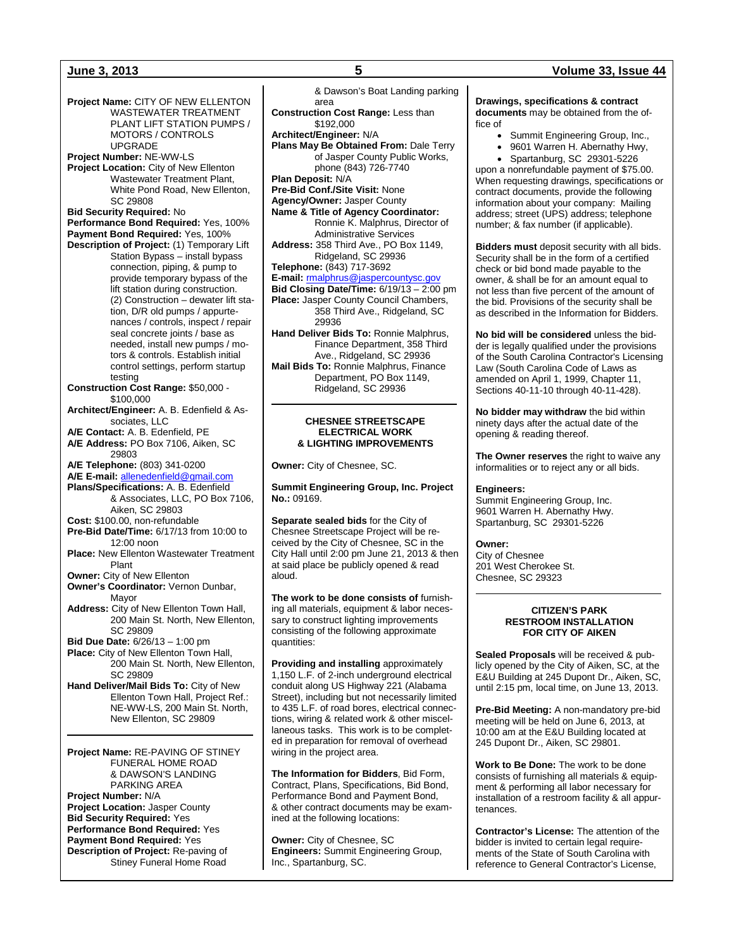**Project Name:** CITY OF NEW ELLENTON WASTEWATER TREATMENT PLANT LIFT STATION PUMPS / MOTORS / CONTROLS UPGRADE **Project Number:** NE-WW-LS **Project Location:** City of New Ellenton Wastewater Treatment Plant, White Pond Road, New Ellenton, SC 29808 **Bid Security Required:** No **Performance Bond Required:** Yes, 100% **Payment Bond Required:** Yes, 100% **Description of Project:** (1) Temporary Lift Station Bypass – install bypass connection, piping, & pump to provide temporary bypass of the lift station during construction. (2) Construction – dewater lift station, D/R old pumps / appurtenances / controls, inspect / repair seal concrete joints / base as needed, install new pumps / motors & controls. Establish initial control settings, perform startup testing **Construction Cost Range:** \$50,000 - \$100,000 **Architect/Engineer:** A. B. Edenfield & Associates, LLC **A/E Contact:** A. B. Edenfield, PE **A/E Address:** PO Box 7106, Aiken, SC 29803 **A/E Telephone:** (803) 341-0200 **A/E E-mail:** [allenedenfield@gmail.com](mailto:allenedenfield@gmail.com) **Plans/Specifications:** A. B. Edenfield & Associates, LLC, PO Box 7106, Aiken, SC 29803 **Cost:** \$100.00, non-refundable **Pre-Bid Date/Time:** 6/17/13 from 10:00 to 12:00 noon **Place:** New Ellenton Wastewater Treatment Plant **Owner:** City of New Ellenton **Owner's Coordinator:** Vernon Dunbar, Mayor **Address:** City of New Ellenton Town Hall, 200 Main St. North, New Ellenton, SC 29809 **Bid Due Date:** 6/26/13 – 1:00 pm Place: City of New Ellenton Town Hall, 200 Main St. North, New Ellenton, SC 29809 **Hand Deliver/Mail Bids To:** City of New Ellenton Town Hall, Project Ref.: NE-WW-LS, 200 Main St. North, New Ellenton, SC 29809 **Project Name:** RE-PAVING OF STINEY

FUNERAL HOME ROAD & DAWSON'S LANDING PARKING AREA **Project Number:** N/A **Project Location:** Jasper County **Bid Security Required:** Yes **Performance Bond Required:** Yes **Payment Bond Required:** Yes **Description of Project:** Re-paving of Stiney Funeral Home Road

& Dawson's Boat Landing parking area **Construction Cost Range:** Less than \$192,000 **Architect/Engineer:** N/A **Plans May Be Obtained From:** Dale Terry of Jasper County Public Works, phone (843) 726-7740 **Plan Deposit:** N/A **Pre-Bid Conf./Site Visit:** None **Agency/Owner:** Jasper County **Name & Title of Agency Coordinator:** Ronnie K. Malphrus, Director of Administrative Services **Address:** 358 Third Ave., PO Box 1149, Ridgeland, SC 29936 **Telephone:** (843) 717-3692 **E-mail:** [rmalphrus@jaspercountysc.gov](mailto:rmalphrus@jaspercountysc.gov) **Bid Closing Date/Time:** 6/19/13 – 2:00 pm **Place:** Jasper County Council Chambers, 358 Third Ave., Ridgeland, SC 29936 **Hand Deliver Bids To:** Ronnie Malphrus, Finance Department, 358 Third Ave., Ridgeland, SC 29936 **Mail Bids To:** Ronnie Malphrus, Finance Department, PO Box 1149, Ridgeland, SC 29936

#### **CHESNEE STREETSCAPE ELECTRICAL WORK & LIGHTING IMPROVEMENTS**

**Owner:** City of Chesnee, SC.

**Summit Engineering Group, Inc. Project No.:** 09169.

**Separate sealed bids** for the City of Chesnee Streetscape Project will be received by the City of Chesnee, SC in the City Hall until 2:00 pm June 21, 2013 & then at said place be publicly opened & read aloud.

**The work to be done consists of** furnishing all materials, equipment & labor necessary to construct lighting improvements consisting of the following approximate quantities:

**Providing and installing** approximately 1,150 L.F. of 2-inch underground electrical conduit along US Highway 221 (Alabama Street), including but not necessarily limited to 435 L.F. of road bores, electrical connections, wiring & related work & other miscellaneous tasks. This work is to be completed in preparation for removal of overhead wiring in the project area.

**The Information for Bidders**, Bid Form, Contract, Plans, Specifications, Bid Bond, Performance Bond and Payment Bond, & other contract documents may be examined at the following locations:

**Owner:** City of Chesnee, SC **Engineers:** Summit Engineering Group, Inc., Spartanburg, SC.

**Drawings, specifications & contract documents** may be obtained from the office of

- Summit Engineering Group, Inc.,
- 9601 Warren H. Abernathy Hwy,
- Spartanburg, SC 29301-5226

upon a nonrefundable payment of \$75.00. When requesting drawings, specifications or contract documents, provide the following information about your company: Mailing address; street (UPS) address; telephone number; & fax number (if applicable).

**Bidders must** deposit security with all bids. Security shall be in the form of a certified check or bid bond made payable to the owner, & shall be for an amount equal to not less than five percent of the amount of the bid. Provisions of the security shall be as described in the Information for Bidders.

**No bid will be considered** unless the bidder is legally qualified under the provisions of the South Carolina Contractor's Licensing Law (South Carolina Code of Laws as amended on April 1, 1999, Chapter 11, Sections 40-11-10 through 40-11-428).

**No bidder may withdraw** the bid within ninety days after the actual date of the opening & reading thereof.

**The Owner reserves** the right to waive any informalities or to reject any or all bids.

#### **Engineers:**

Summit Engineering Group, Inc. 9601 Warren H. Abernathy Hwy. Spartanburg, SC 29301-5226

### **Owner:**

City of Chesnee 201 West Cherokee St. Chesnee, SC 29323

#### **CITIZEN'S PARK RESTROOM INSTALLATION FOR CITY OF AIKEN**

**Sealed Proposals** will be received & publicly opened by the City of Aiken, SC, at the E&U Building at 245 Dupont Dr., Aiken, SC, until 2:15 pm, local time, on June 13, 2013.

**Pre-Bid Meeting:** A non-mandatory pre-bid meeting will be held on June 6, 2013, at 10:00 am at the E&U Building located at 245 Dupont Dr., Aiken, SC 29801.

**Work to Be Done:** The work to be done consists of furnishing all materials & equipment & performing all labor necessary for installation of a restroom facility & all appurtenances.

**Contractor's License:** The attention of the bidder is invited to certain legal requirements of the State of South Carolina with reference to General Contractor's License,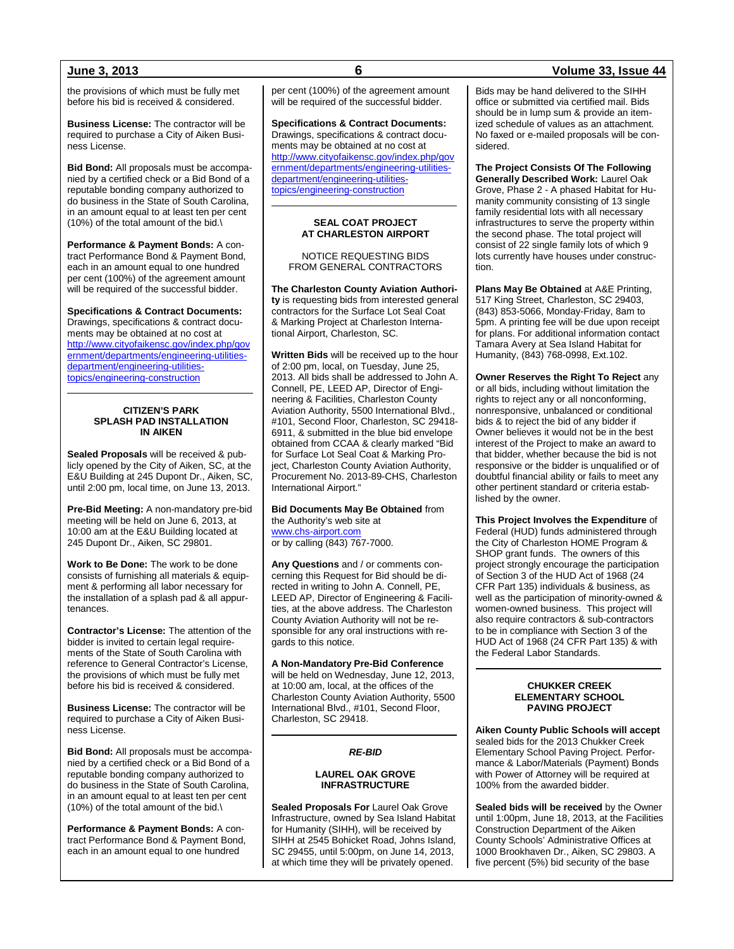the provisions of which must be fully met before his bid is received & considered.

**Business License:** The contractor will be required to purchase a City of Aiken Business License.

**Bid Bond:** All proposals must be accompanied by a certified check or a Bid Bond of a reputable bonding company authorized to do business in the State of South Carolina, in an amount equal to at least ten per cent (10%) of the total amount of the bid.\

**Performance & Payment Bonds:** A contract Performance Bond & Payment Bond, each in an amount equal to one hundred per cent (100%) of the agreement amount will be required of the successful bidder.

**Specifications & Contract Documents:** Drawings, specifications & contract documents may be obtained at no cost at [http://www.cityofaikensc.gov/index.php/gov](http://www.cityofaikensc.gov/index.php/government/departments/engineering-utilities-department/engineering-utilities-topics/engineering-construction) [ernment/departments/engineering-utilities](http://www.cityofaikensc.gov/index.php/government/departments/engineering-utilities-department/engineering-utilities-topics/engineering-construction)[department/engineering-utilities](http://www.cityofaikensc.gov/index.php/government/departments/engineering-utilities-department/engineering-utilities-topics/engineering-construction)[topics/engineering-construction](http://www.cityofaikensc.gov/index.php/government/departments/engineering-utilities-department/engineering-utilities-topics/engineering-construction)

#### **CITIZEN'S PARK SPLASH PAD INSTALLATION IN AIKEN**

**Sealed Proposals** will be received & publicly opened by the City of Aiken, SC, at the E&U Building at 245 Dupont Dr., Aiken, SC, until 2:00 pm, local time, on June 13, 2013.

**Pre-Bid Meeting:** A non-mandatory pre-bid meeting will be held on June 6, 2013, at 10:00 am at the E&U Building located at 245 Dupont Dr., Aiken, SC 29801.

**Work to Be Done:** The work to be done consists of furnishing all materials & equipment & performing all labor necessary for the installation of a splash pad & all appurtenances.

**Contractor's License:** The attention of the bidder is invited to certain legal requirements of the State of South Carolina with reference to General Contractor's License, the provisions of which must be fully met before his bid is received & considered.

**Business License:** The contractor will be required to purchase a City of Aiken Business License.

**Bid Bond:** All proposals must be accompanied by a certified check or a Bid Bond of a reputable bonding company authorized to do business in the State of South Carolina, in an amount equal to at least ten per cent (10%) of the total amount of the bid.\

**Performance & Payment Bonds:** A contract Performance Bond & Payment Bond, each in an amount equal to one hundred

per cent (100%) of the agreement amount will be required of the successful bidder.

**Specifications & Contract Documents:** Drawings, specifications & contract documents may be obtained at no cost at [http://www.cityofaikensc.gov/index.php/gov](http://www.cityofaikensc.gov/index.php/government/departments/engineering-utilities-department/engineering-utilities-topics/engineering-construction) [ernment/departments/engineering-utilities](http://www.cityofaikensc.gov/index.php/government/departments/engineering-utilities-department/engineering-utilities-topics/engineering-construction)[department/engineering-utilities](http://www.cityofaikensc.gov/index.php/government/departments/engineering-utilities-department/engineering-utilities-topics/engineering-construction)[topics/engineering-construction](http://www.cityofaikensc.gov/index.php/government/departments/engineering-utilities-department/engineering-utilities-topics/engineering-construction)

#### **SEAL COAT PROJECT AT CHARLESTON AIRPORT**

NOTICE REQUESTING BIDS FROM GENERAL CONTRACTORS

**The Charleston County Aviation Authority** is requesting bids from interested general contractors for the Surface Lot Seal Coat & Marking Project at Charleston International Airport, Charleston, SC.

**Written Bids** will be received up to the hour of 2:00 pm, local, on Tuesday, June 25, 2013. All bids shall be addressed to John A. Connell, PE, LEED AP, Director of Engineering & Facilities, Charleston County Aviation Authority, 5500 International Blvd., #101, Second Floor, Charleston, SC 29418- 6911, & submitted in the blue bid envelope obtained from CCAA & clearly marked "Bid for Surface Lot Seal Coat & Marking Project, Charleston County Aviation Authority, Procurement No. 2013-89-CHS, Charleston International Airport."

**Bid Documents May Be Obtained** from the Authority's web site at [www.chs-airport.com](http://www.chs-airport.com/) or by calling (843) 767-7000.

**Any Questions** and / or comments concerning this Request for Bid should be directed in writing to John A. Connell, PE, LEED AP, Director of Engineering & Facilities, at the above address. The Charleston County Aviation Authority will not be responsible for any oral instructions with regards to this notice.

**A Non-Mandatory Pre-Bid Conference** will be held on Wednesday, June 12, 2013, at 10:00 am, local, at the offices of the Charleston County Aviation Authority, 5500 International Blvd., #101, Second Floor, Charleston, SC 29418.

### *RE-BID*

#### **LAUREL OAK GROVE INFRASTRUCTURE**

**Sealed Proposals For** Laurel Oak Grove Infrastructure, owned by Sea Island Habitat for Humanity (SIHH), will be received by SIHH at 2545 Bohicket Road, Johns Island, SC 29455, until 5:00pm, on June 14, 2013, at which time they will be privately opened.

### **June 3, 2013 6 Volume 33, Issue 44**

Bids may be hand delivered to the SIHH office or submitted via certified mail. Bids should be in lump sum & provide an itemized schedule of values as an attachment. No faxed or e-mailed proposals will be considered.

**The Project Consists Of The Following Generally Described Work:** Laurel Oak Grove, Phase 2 - A phased Habitat for Humanity community consisting of 13 single family residential lots with all necessary infrastructures to serve the property within the second phase. The total project will consist of 22 single family lots of which 9 lots currently have houses under construction.

**Plans May Be Obtained** at A&E Printing, 517 King Street, Charleston, SC 29403, (843) 853-5066, Monday-Friday, 8am to 5pm. A printing fee will be due upon receipt for plans. For additional information contact Tamara Avery at Sea Island Habitat for Humanity, (843) 768-0998, Ext.102.

**Owner Reserves the Right To Reject** any or all bids, including without limitation the rights to reject any or all nonconforming, nonresponsive, unbalanced or conditional bids & to reject the bid of any bidder if Owner believes it would not be in the best interest of the Project to make an award to that bidder, whether because the bid is not responsive or the bidder is unqualified or of doubtful financial ability or fails to meet any other pertinent standard or criteria established by the owner.

**This Project Involves the Expenditure** of Federal (HUD) funds administered through the City of Charleston HOME Program & SHOP grant funds. The owners of this project strongly encourage the participation of Section 3 of the HUD Act of 1968 (24 CFR Part 135) individuals & business, as well as the participation of minority-owned & women-owned business. This project will also require contractors & sub-contractors to be in compliance with Section 3 of the HUD Act of 1968 (24 CFR Part 135) & with the Federal Labor Standards.

#### **CHUKKER CREEK ELEMENTARY SCHOOL PAVING PROJECT**

**Aiken County Public Schools will accept** sealed bids for the 2013 Chukker Creek Elementary School Paving Project. Performance & Labor/Materials (Payment) Bonds with Power of Attorney will be required at 100% from the awarded bidder.

**Sealed bids will be received** by the Owner until 1:00pm, June 18, 2013, at the Facilities Construction Department of the Aiken County Schools' Administrative Offices at 1000 Brookhaven Dr., Aiken, SC 29803. A five percent (5%) bid security of the base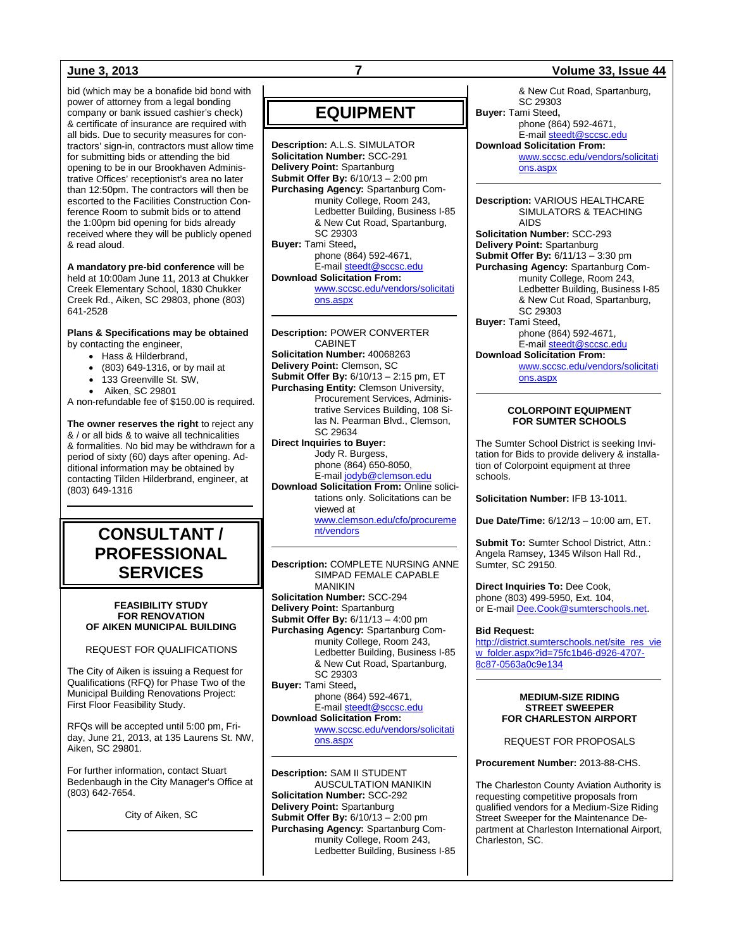bid (which may be a bonafide bid bond with power of attorney from a legal bonding company or bank issued cashier's check) & certificate of insurance are required with all bids. Due to security measures for contractors' sign-in, contractors must allow time for submitting bids or attending the bid opening to be in our Brookhaven Administrative Offices' receptionist's area no later than 12:50pm. The contractors will then be escorted to the Facilities Construction Conference Room to submit bids or to attend the 1:00pm bid opening for bids already received where they will be publicly opened & read aloud.

**A mandatory pre-bid conference** will be held at 10:00am June 11, 2013 at Chukker Creek Elementary School, 1830 Chukker Creek Rd., Aiken, SC 29803, phone (803) 641-2528

## **Plans & Specifications may be obtained**

by contacting the engineer,

- Hass & Hilderbrand,
- (803) 649-1316, or by mail at
- 133 Greenville St. SW.

• Aiken, SC 29801 A non-refundable fee of \$150.00 is required.

**The owner reserves the right** to reject any & / or all bids & to waive all technicalities & formalities. No bid may be withdrawn for a period of sixty (60) days after opening. Additional information may be obtained by contacting Tilden Hilderbrand, engineer, at (803) 649-1316

## **CONSULTANT / PROFESSIONAL SERVICES**

#### **FEASIBILITY STUDY FOR RENOVATION OF AIKEN MUNICIPAL BUILDING**

#### REQUEST FOR QUALIFICATIONS

The City of Aiken is issuing a Request for Qualifications (RFQ) for Phase Two of the Municipal Building Renovations Project: First Floor Feasibility Study.

RFQs will be accepted until 5:00 pm, Friday, June 21, 2013, at 135 Laurens St. NW, Aiken, SC 29801.

For further information, contact Stuart Bedenbaugh in the City Manager's Office at (803) 642-7654.

City of Aiken, SC

## **EQUIPMENT**

**Description:** A.L.S. SIMULATOR **Solicitation Number:** SCC-291 **Delivery Point:** Spartanburg **Submit Offer By:** 6/10/13 – 2:00 pm **Purchasing Agency:** Spartanburg Community College, Room 243, Ledbetter Building, Business I-85 & New Cut Road, Spartanburg, SC 29303 **Buyer:** Tami Steed**,** phone (864) 592-4671, E-mai[l steedt@sccsc.edu](mailto:steedt@sccsc.edu) **Download Solicitation From:** [www.sccsc.edu/vendors/solicitati](http://www.sccsc.edu/vendors/solicitations.aspx) [ons.aspx](http://www.sccsc.edu/vendors/solicitations.aspx)

**Description:** POWER CONVERTER CABINET **Solicitation Number:** 40068263 **Delivery Point:** Clemson, SC **Submit Offer By:** 6/10/13 – 2:15 pm, ET **Purchasing Entity:** Clemson University, Procurement Services, Administrative Services Building, 108 Silas N. Pearman Blvd., Clemson, SC 29634 **Direct Inquiries to Buyer:** Jody R. Burgess, phone (864) 650-8050, E-mai[l jodyb@clemson.edu](mailto:jodyb@clemson.edu)

**Download Solicitation From:** Online solicitations only. Solicitations can be viewed at

> [www.clemson.edu/cfo/procureme](http://www.clemson.edu/cfo/procurement/vendors) [nt/vendors](http://www.clemson.edu/cfo/procurement/vendors)

#### **Description:** COMPLETE NURSING ANNE SIMPAD FEMALE CAPABLE MANIKIN **Solicitation Number:** SCC-294 **Delivery Point:** Spartanburg **Submit Offer By:** 6/11/13 – 4:00 pm **Purchasing Agency:** Spartanburg Community College, Room 243, Ledbetter Building, Business I-85 & New Cut Road, Spartanburg, SC 29303

**Buyer:** Tami Steed**,** phone (864) 592-4671, E-mai[l steedt@sccsc.edu](mailto:steedt@sccsc.edu) **Download Solicitation From:**

[www.sccsc.edu/vendors/solicitati](http://www.sccsc.edu/vendors/solicitations.aspx) [ons.aspx](http://www.sccsc.edu/vendors/solicitations.aspx)

**Description:** SAM II STUDENT AUSCULTATION MANIKIN **Solicitation Number:** SCC-292 **Delivery Point:** Spartanburg **Submit Offer By:** 6/10/13 – 2:00 pm **Purchasing Agency:** Spartanburg Community College, Room 243, Ledbetter Building, Business I-85

#### **June 3, 2013 7 Volume 33, Issue 44**

& New Cut Road, Spartanburg, SC 29303 **Buyer:** Tami Steed**,** phone (864) 592-4671, E-mai[l steedt@sccsc.edu](mailto:steedt@sccsc.edu) **Download Solicitation From:** [www.sccsc.edu/vendors/solicitati](http://www.sccsc.edu/vendors/solicitations.aspx) [ons.aspx](http://www.sccsc.edu/vendors/solicitations.aspx)

**Description:** VARIOUS HEALTHCARE SIMULATORS & TEACHING AIDS

**Solicitation Number:** SCC-293 **Delivery Point:** Spartanburg **Submit Offer By:** 6/11/13 – 3:30 pm **Purchasing Agency:** Spartanburg Community College, Room 243, Ledbetter Building, Business I-85 & New Cut Road, Spartanburg, SC 29303 **Buyer:** Tami Steed**,** phone (864) 592-4671,

E-mai[l steedt@sccsc.edu](mailto:steedt@sccsc.edu) **Download Solicitation From:**

> [www.sccsc.edu/vendors/solicitati](http://www.sccsc.edu/vendors/solicitations.aspx) [ons.aspx](http://www.sccsc.edu/vendors/solicitations.aspx)

#### **COLORPOINT EQUIPMENT FOR SUMTER SCHOOLS**

The Sumter School District is seeking Invitation for Bids to provide delivery & installation of Colorpoint equipment at three schools.

**Solicitation Number:** IFB 13-1011.

**Due Date/Time:** 6/12/13 – 10:00 am, ET.

**Submit To:** Sumter School District, Attn.: Angela Ramsey, 1345 Wilson Hall Rd., Sumter, SC 29150.

**Direct Inquiries To:** Dee Cook, phone (803) 499-5950, Ext. 104, or E-mail [Dee.Cook@sumterschools.net.](mailto:Dee.Cook@sumterschools.net) 

#### **Bid Request:**

[http://district.sumterschools.net/site\\_res\\_vie](http://district.sumterschools.net/site_res_view_folder.aspx?id=75fc1b46-d926-4707-8c87-0563a0c9e134) [w\\_folder.aspx?id=75fc1b46-d926-4707-](http://district.sumterschools.net/site_res_view_folder.aspx?id=75fc1b46-d926-4707-8c87-0563a0c9e134) [8c87-0563a0c9e134](http://district.sumterschools.net/site_res_view_folder.aspx?id=75fc1b46-d926-4707-8c87-0563a0c9e134)

#### **MEDIUM-SIZE RIDING STREET SWEEPER FOR CHARLESTON AIRPORT**

REQUEST FOR PROPOSALS

**Procurement Number:** 2013-88-CHS.

The Charleston County Aviation Authority is requesting competitive proposals from qualified vendors for a Medium-Size Riding Street Sweeper for the Maintenance Department at Charleston International Airport, Charleston, SC.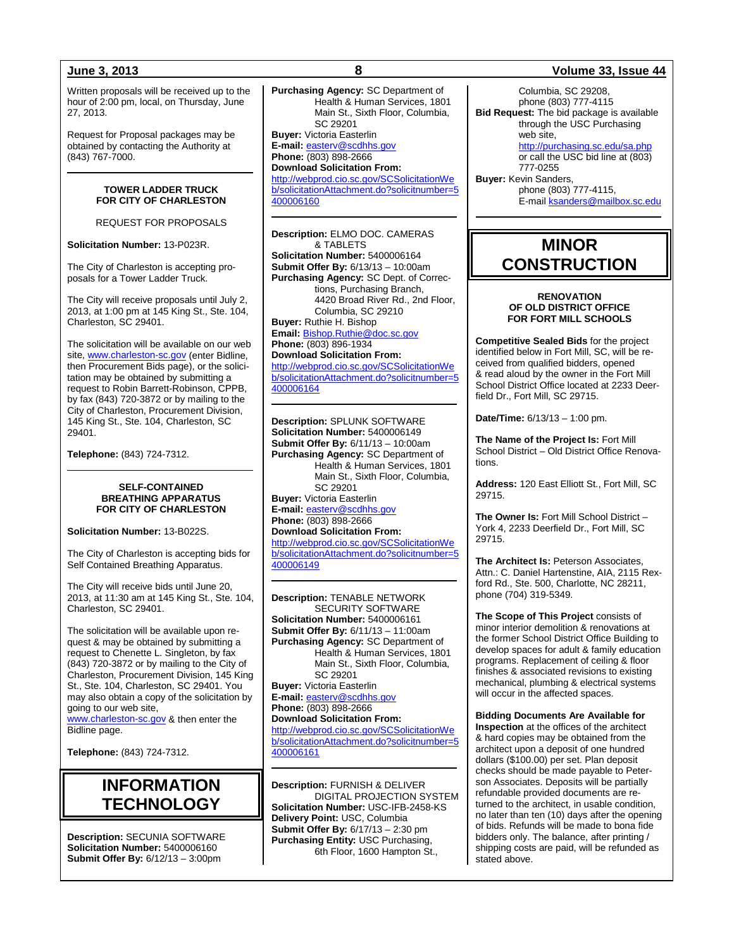Written proposals will be received up to the hour of 2:00 pm, local, on Thursday, June 27, 2013.

Request for Proposal packages may be obtained by contacting the Authority at (843) 767-7000.

#### **TOWER LADDER TRUCK FOR CITY OF CHARLESTON**

REQUEST FOR PROPOSALS

**Solicitation Number:** 13-P023R.

The City of Charleston is accepting proposals for a Tower Ladder Truck.

The City will receive proposals until July 2, 2013, at 1:00 pm at 145 King St., Ste. 104, Charleston, SC 29401.

The solicitation will be available on our web site, [www.charleston-sc.gov](http://www.charleston-sc.gov/) (enter Bidline, then Procurement Bids page), or the solicitation may be obtained by submitting a request to Robin Barrett-Robinson, CPPB, by fax (843) 720-3872 or by mailing to the City of Charleston, Procurement Division, 145 King St., Ste. 104, Charleston, SC 29401.

**Telephone:** (843) 724-7312.

#### **SELF-CONTAINED BREATHING APPARATUS FOR CITY OF CHARLESTON**

**Solicitation Number:** 13-B022S.

The City of Charleston is accepting bids for Self Contained Breathing Apparatus.

The City will receive bids until June 20, 2013, at 11:30 am at 145 King St., Ste. 104, Charleston, SC 29401.

The solicitation will be available upon request & may be obtained by submitting a request to Chenette L. Singleton, by fax (843) 720-3872 or by mailing to the City of Charleston, Procurement Division, 145 King St., Ste. 104, Charleston, SC 29401. You may also obtain a copy of the solicitation by going to our web site, ww.charleston-sc.gov & then enter the

Bidline page.

**Telephone:** (843) 724-7312.

## **INFORMATION TECHNOLOGY**

**Description:** SECUNIA SOFTWARE **Solicitation Number:** 5400006160 **Submit Offer By:** 6/12/13 – 3:00pm

**Purchasing Agency:** SC Department of Health & Human Services, 1801 Main St., Sixth Floor, Columbia, SC 29201 **Buyer:** Victoria Easterlin **E-mail:** [easterv@scdhhs.gov](mailto:easterv@scdhhs.gov) **Phone:** (803) 898-2666 **Download Solicitation From:** [http://webprod.cio.sc.gov/SCSolicitationWe](http://webprod.cio.sc.gov/SCSolicitationWeb/solicitationAttachment.do?solicitnumber=5400006160) [b/solicitationAttachment.do?solicitnumber=5](http://webprod.cio.sc.gov/SCSolicitationWeb/solicitationAttachment.do?solicitnumber=5400006160) [400006160](http://webprod.cio.sc.gov/SCSolicitationWeb/solicitationAttachment.do?solicitnumber=5400006160)

**Description:** ELMO DOC. CAMERAS & TABLETS **Solicitation Number:** 5400006164 **Submit Offer By:** 6/13/13 – 10:00am **Purchasing Agency:** SC Dept. of Corrections, Purchasing Branch, 4420 Broad River Rd., 2nd Floor, Columbia, SC 29210 **Buyer:** Ruthie H. Bishop **Email:** [Bishop.Ruthie@doc.sc.gov](mailto:Bishop.Ruthie@doc.sc.gov) **Phone:** (803) 896-1934 **Download Solicitation From:** [http://webprod.cio.sc.gov/SCSolicitationWe](http://webprod.cio.sc.gov/SCSolicitationWeb/solicitationAttachment.do?solicitnumber=5400006164) [b/solicitationAttachment.do?solicitnumber=5](http://webprod.cio.sc.gov/SCSolicitationWeb/solicitationAttachment.do?solicitnumber=5400006164)

[400006164](http://webprod.cio.sc.gov/SCSolicitationWeb/solicitationAttachment.do?solicitnumber=5400006164)

**Description:** SPLUNK SOFTWARE **Solicitation Number:** 5400006149 **Submit Offer By:** 6/11/13 – 10:00am **Purchasing Agency:** SC Department of Health & Human Services, 1801 Main St., Sixth Floor, Columbia, SC 29201 **Buyer:** Victoria Easterlin **E-mail:** [easterv@scdhhs.gov](mailto:easterv@scdhhs.gov) **Phone:** (803) 898-2666 **Download Solicitation From:** [http://webprod.cio.sc.gov/SCSolicitationWe](http://webprod.cio.sc.gov/SCSolicitationWeb/solicitationAttachment.do?solicitnumber=5400006149)

[b/solicitationAttachment.do?solicitnumber=5](http://webprod.cio.sc.gov/SCSolicitationWeb/solicitationAttachment.do?solicitnumber=5400006149) [400006149](http://webprod.cio.sc.gov/SCSolicitationWeb/solicitationAttachment.do?solicitnumber=5400006149)

**Description:** TENABLE NETWORK SECURITY SOFTWARE **Solicitation Number:** 5400006161 **Submit Offer By:** 6/11/13 – 11:00am **Purchasing Agency:** SC Department of Health & Human Services, 1801 Main St., Sixth Floor, Columbia, SC 29201 **Buyer:** Victoria Easterlin **E-mail:** [easterv@scdhhs.gov](mailto:easterv@scdhhs.gov) **Phone:** (803) 898-2666 **Download Solicitation From:** [http://webprod.cio.sc.gov/SCSolicitationWe](http://webprod.cio.sc.gov/SCSolicitationWeb/solicitationAttachment.do?solicitnumber=5400006161) [b/solicitationAttachment.do?solicitnumber=5](http://webprod.cio.sc.gov/SCSolicitationWeb/solicitationAttachment.do?solicitnumber=5400006161) [400006161](http://webprod.cio.sc.gov/SCSolicitationWeb/solicitationAttachment.do?solicitnumber=5400006161)

**Description:** FURNISH & DELIVER DIGITAL PROJECTION SYSTEM **Solicitation Number:** USC-IFB-2458-KS **Delivery Point:** USC, Columbia **Submit Offer By:** 6/17/13 – 2:30 pm **Purchasing Entity:** USC Purchasing, 6th Floor, 1600 Hampton St.,

### **June 3, 2013 8 Volume 33, Issue 44**

Columbia, SC 29208, phone (803) 777-4115 **Bid Request:** The bid package is available through the USC Purchasing web site, <http://purchasing.sc.edu/sa.php> or call the USC bid line at (803) 777-0255 **Buyer:** Kevin Sanders, phone (803) 777-4115, E-mai[l ksanders@mailbox.sc.edu](mailto:ksanders@mailbox.sc.edu)

**MINOR** 

# **CONSTRUCTION**

#### **RENOVATION OF OLD DISTRICT OFFICE FOR FORT MILL SCHOOLS**

**Competitive Sealed Bids** for the project identified below in Fort Mill, SC, will be received from qualified bidders, opened & read aloud by the owner in the Fort Mill School District Office located at 2233 Deerfield Dr., Fort Mill, SC 29715.

**Date/Time:** 6/13/13 – 1:00 pm.

**The Name of the Project Is:** Fort Mill School District – Old District Office Renovations.

**Address:** 120 East Elliott St., Fort Mill, SC 29715.

**The Owner Is:** Fort Mill School District – York 4, 2233 Deerfield Dr., Fort Mill, SC 29715.

**The Architect Is:** Peterson Associates, Attn.: C. Daniel Hartenstine, AIA, 2115 Rexford Rd., Ste. 500, Charlotte, NC 28211, phone (704) 319-5349.

**The Scope of This Project** consists of minor interior demolition & renovations at the former School District Office Building to develop spaces for adult & family education programs. Replacement of ceiling & floor finishes & associated revisions to existing mechanical, plumbing & electrical systems will occur in the affected spaces.

**Bidding Documents Are Available for Inspection** at the offices of the architect & hard copies may be obtained from the architect upon a deposit of one hundred dollars (\$100.00) per set. Plan deposit checks should be made payable to Peterson Associates. Deposits will be partially refundable provided documents are returned to the architect, in usable condition, no later than ten (10) days after the opening of bids. Refunds will be made to bona fide bidders only. The balance, after printing / shipping costs are paid, will be refunded as stated above.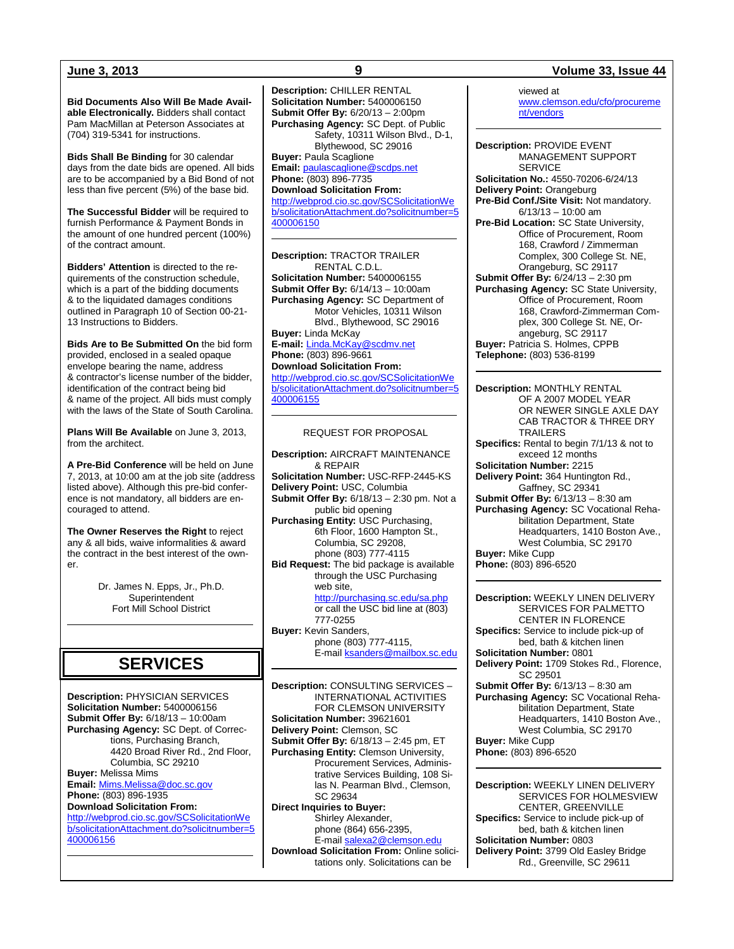**Bid Documents Also Will Be Made Available Electronically.** Bidders shall contact Pam MacMillan at Peterson Associates at (704) 319-5341 for instructions.

**Bids Shall Be Binding** for 30 calendar days from the date bids are opened. All bids are to be accompanied by a Bid Bond of not less than five percent (5%) of the base bid.

**The Successful Bidder** will be required to furnish Performance & Payment Bonds in the amount of one hundred percent (100%) of the contract amount.

**Bidders' Attention** is directed to the requirements of the construction schedule, which is a part of the bidding documents & to the liquidated damages conditions outlined in Paragraph 10 of Section 00-21- 13 Instructions to Bidders.

**Bids Are to Be Submitted On** the bid form provided, enclosed in a sealed opaque envelope bearing the name, address & contractor's license number of the bidder, identification of the contract being bid & name of the project. All bids must comply with the laws of the State of South Carolina.

**Plans Will Be Available** on June 3, 2013, from the architect.

**A Pre-Bid Conference** will be held on June 7, 2013, at 10:00 am at the job site (address listed above). Although this pre-bid conference is not mandatory, all bidders are encouraged to attend.

**The Owner Reserves the Right** to reject any & all bids, waive informalities & award the contract in the best interest of the own $er$ 

> Dr. James N. Epps, Jr., Ph.D. **Superintendent** Fort Mill School District

## **SERVICES**

**Description:** PHYSICIAN SERVICES **Solicitation Number:** 5400006156 **Submit Offer By:** 6/18/13 – 10:00am **Purchasing Agency:** SC Dept. of Corrections, Purchasing Branch, 4420 Broad River Rd., 2nd Floor, Columbia, SC 29210 **Buyer:** Melissa Mims **Email:** [Mims.Melissa@doc.sc.gov](mailto:Mims.Melissa@doc.sc.gov) **Phone:** (803) 896-1935 **Download Solicitation From:** [http://webprod.cio.sc.gov/SCSolicitationWe](http://webprod.cio.sc.gov/SCSolicitationWeb/solicitationAttachment.do?solicitnumber=5400006156)

[b/solicitationAttachment.do?solicitnumber=5](http://webprod.cio.sc.gov/SCSolicitationWeb/solicitationAttachment.do?solicitnumber=5400006156) [400006156](http://webprod.cio.sc.gov/SCSolicitationWeb/solicitationAttachment.do?solicitnumber=5400006156)

**Description:** CHILLER RENTAL **Solicitation Number:** 5400006150 **Submit Offer By:** 6/20/13 – 2:00pm **Purchasing Agency:** SC Dept. of Public Safety, 10311 Wilson Blvd., D-1, Blythewood, SC 29016 **Buyer:** Paula Scaglione **Email:** [paulascaglione@scdps.net](mailto:paulascaglione@scdps.net) **Phone:** (803) 896-7735 **Download Solicitation From:** [http://webprod.cio.sc.gov/SCSolicitationWe](http://webprod.cio.sc.gov/SCSolicitationWeb/solicitationAttachment.do?solicitnumber=5400006150) [b/solicitationAttachment.do?solicitnumber=5](http://webprod.cio.sc.gov/SCSolicitationWeb/solicitationAttachment.do?solicitnumber=5400006150) [400006150](http://webprod.cio.sc.gov/SCSolicitationWeb/solicitationAttachment.do?solicitnumber=5400006150)

**Description:** TRACTOR TRAILER RENTAL C.D.L. **Solicitation Number:** 5400006155 **Submit Offer By:** 6/14/13 – 10:00am **Purchasing Agency:** SC Department of Motor Vehicles, 10311 Wilson Blvd., Blythewood, SC 29016 **Buyer:** Linda McKay **E-mail:** [Linda.McKay@scdmv.net](mailto:Linda.McKay@scdmv.net) **Phone:** (803) 896-9661 **Download Solicitation From:** [http://webprod.cio.sc.gov/SCSolicitationWe](http://webprod.cio.sc.gov/SCSolicitationWeb/solicitationAttachment.do?solicitnumber=5400006155) [b/solicitationAttachment.do?solicitnumber=5](http://webprod.cio.sc.gov/SCSolicitationWeb/solicitationAttachment.do?solicitnumber=5400006155) [400006155](http://webprod.cio.sc.gov/SCSolicitationWeb/solicitationAttachment.do?solicitnumber=5400006155)

#### REQUEST FOR PROPOSAL

**Description:** AIRCRAFT MAINTENANCE & REPAIR **Solicitation Number:** USC-RFP-2445-KS **Delivery Point:** USC, Columbia **Submit Offer By:** 6/18/13 – 2:30 pm. Not a public bid opening **Purchasing Entity:** USC Purchasing, 6th Floor, 1600 Hampton St., Columbia, SC 29208, phone (803) 777-4115 **Bid Request:** The bid package is available through the USC Purchasing web site, <http://purchasing.sc.edu/sa.php> or call the USC bid line at (803) 777-0255 **Buyer:** Kevin Sanders, phone (803) 777-4115, E-mail **ksanders@mailbox.sc.edu** 

**Description:** CONSULTING SERVICES – INTERNATIONAL ACTIVITIES FOR CLEMSON UNIVERSITY **Solicitation Number:** 39621601 **Delivery Point:** Clemson, SC **Submit Offer By:** 6/18/13 – 2:45 pm, ET **Purchasing Entity:** Clemson University, Procurement Services, Administrative Services Building, 108 Silas N. Pearman Blvd., Clemson, SC 29634 **Direct Inquiries to Buyer:** Shirley Alexander, phone (864) 656-2395, E-mai[l salexa2@clemson.edu](mailto:salexa2@clemson.edu) **Download Solicitation From:** Online solicitations only. Solicitations can be

### **June 3, 2013 9 Volume 33, Issue 44**

viewed at [www.clemson.edu/cfo/procureme](http://www.clemson.edu/cfo/procurement/vendors) [nt/vendors](http://www.clemson.edu/cfo/procurement/vendors)

**Description:** PROVIDE EVENT MANAGEMENT SUPPORT SERVICE **Solicitation No.:** 4550-70206-6/24/13 **Delivery Point:** Orangeburg **Pre-Bid Conf./Site Visit:** Not mandatory. 6/13/13 – 10:00 am **Pre-Bid Location:** SC State University, Office of Procurement, Room 168, Crawford / Zimmerman Complex, 300 College St. NE, Orangeburg, SC 29117 **Submit Offer By:** 6/24/13 – 2:30 pm **Purchasing Agency:** SC State University, Office of Procurement, Room 168, Crawford-Zimmerman Complex, 300 College St. NE, Orangeburg, SC 29117 **Buyer:** Patricia S. Holmes, CPPB **Telephone:** (803) 536-8199

**Description:** MONTHLY RENTAL OF A 2007 MODEL YEAR OR NEWER SINGLE AXLE DAY CAB TRACTOR & THREE DRY TRAILERS **Specifics:** Rental to begin 7/1/13 & not to exceed 12 months **Solicitation Number:** 2215 **Delivery Point:** 364 Huntington Rd., Gaffney, SC 29341 **Submit Offer By:** 6/13/13 – 8:30 am **Purchasing Agency:** SC Vocational Rehabilitation Department, State Headquarters, 1410 Boston Ave., West Columbia, SC 29170 **Buyer:** Mike Cupp

**Phone:** (803) 896-6520

**Description:** WEEKLY LINEN DELIVERY SERVICES FOR PALMETTO CENTER IN FLORENCE **Specifics:** Service to include pick-up of bed, bath & kitchen linen **Solicitation Number:** 0801 **Delivery Point:** 1709 Stokes Rd., Florence, SC 29501 **Submit Offer By:** 6/13/13 – 8:30 am **Purchasing Agency:** SC Vocational Rehabilitation Department, State Headquarters, 1410 Boston Ave., West Columbia, SC 29170 **Buyer:** Mike Cupp

**Phone:** (803) 896-6520

**Description:** WEEKLY LINEN DELIVERY SERVICES FOR HOLMESVIEW CENTER, GREENVILLE **Specifics:** Service to include pick-up of bed, bath & kitchen linen **Solicitation Number:** 0803 **Delivery Point:** 3799 Old Easley Bridge Rd., Greenville, SC 29611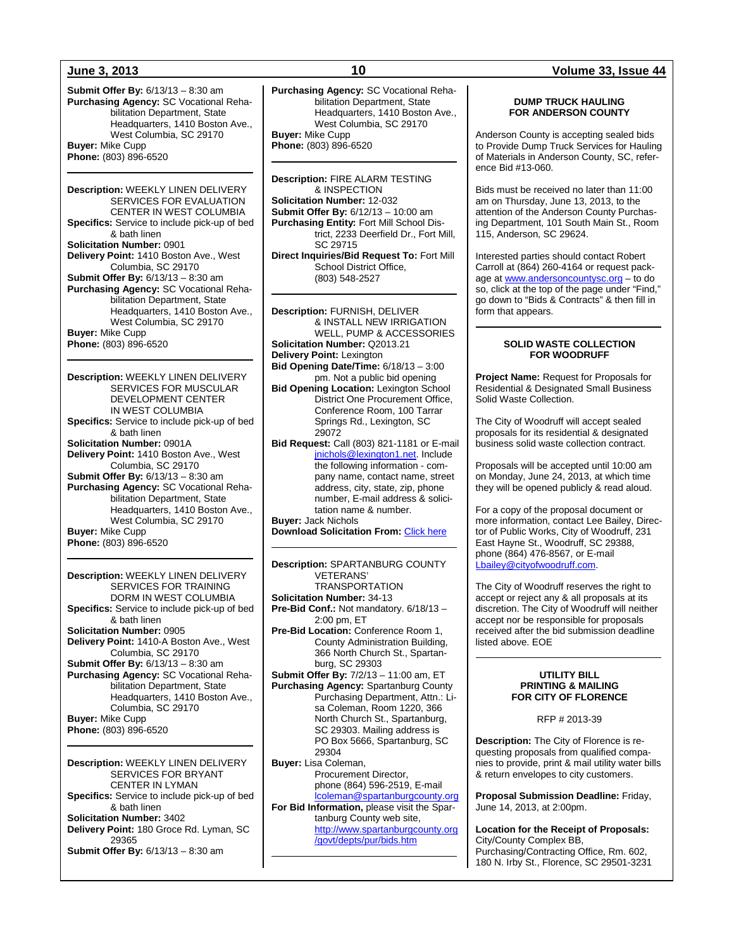**Submit Offer By:** 6/13/13 – 8:30 am **Purchasing Agency:** SC Vocational Rehabilitation Department, State Headquarters, 1410 Boston Ave., West Columbia, SC 29170 **Buyer:** Mike Cupp **Phone:** (803) 896-6520

**Description:** WEEKLY LINEN DELIVERY SERVICES FOR EVALUATION CENTER IN WEST COLUMBIA **Specifics:** Service to include pick-up of bed & bath linen **Solicitation Number:** 0901 **Delivery Point:** 1410 Boston Ave., West Columbia, SC 29170 **Submit Offer By:** 6/13/13 – 8:30 am **Purchasing Agency:** SC Vocational Rehabilitation Department, State Headquarters, 1410 Boston Ave., West Columbia, SC 29170 **Buyer:** Mike Cupp **Phone:** (803) 896-6520

**Description:** WEEKLY LINEN DELIVERY SERVICES FOR MUSCULAR DEVELOPMENT CENTER IN WEST COLUMBIA **Specifics:** Service to include pick-up of bed & bath linen **Solicitation Number:** 0901A **Delivery Point:** 1410 Boston Ave., West Columbia, SC 29170 **Submit Offer By:** 6/13/13 – 8:30 am **Purchasing Agency:** SC Vocational Rehabilitation Department, State Headquarters, 1410 Boston Ave., West Columbia, SC 29170 **Buyer:** Mike Cupp **Phone:** (803) 896-6520

**Description:** WEEKLY LINEN DELIVERY SERVICES FOR TRAINING DORM IN WEST COLUMBIA **Specifics:** Service to include pick-up of bed & bath linen **Solicitation Number:** 0905 **Delivery Point:** 1410-A Boston Ave., West Columbia, SC 29170 **Submit Offer By:** 6/13/13 – 8:30 am **Purchasing Agency:** SC Vocational Rehabilitation Department, State Headquarters, 1410 Boston Ave., Columbia, SC 29170 **Buyer:** Mike Cupp **Phone:** (803) 896-6520

**Description:** WEEKLY LINEN DELIVERY SERVICES FOR BRYANT CENTER IN LYMAN **Specifics:** Service to include pick-up of bed & bath linen **Solicitation Number:** 3402 **Delivery Point:** 180 Groce Rd. Lyman, SC 29365 **Submit Offer By:** 6/13/13 – 8:30 am

**Purchasing Agency:** SC Vocational Rehabilitation Department, State Headquarters, 1410 Boston Ave., West Columbia, SC 29170 **Buyer:** Mike Cupp **Phone:** (803) 896-6520

**Description:** FIRE ALARM TESTING & INSPECTION **Solicitation Number:** 12-032 **Submit Offer By:** 6/12/13 – 10:00 am **Purchasing Entity:** Fort Mill School District, 2233 Deerfield Dr., Fort Mill, SC 29715 **Direct Inquiries/Bid Request To:** Fort Mill School District Office,

(803) 548-2527

**Description:** FURNISH, DELIVER & INSTALL NEW IRRIGATION WELL, PUMP & ACCESSORIES **Solicitation Number:** Q2013.21 **Delivery Point:** Lexington **Bid Opening Date/Time:** 6/18/13 – 3:00 pm. Not a public bid opening **Bid Opening Location:** Lexington School District One Procurement Office, Conference Room, 100 Tarrar Springs Rd., Lexington, SC 29072 **Bid Request:** Call (803) 821-1181 or E-mail [jnichols@lexington1.net.](mailto:jnichols@lexington1.net) Include the following information - company name, contact name, street address, city, state, zip, phone number, E-mail address & solicitation name & number. **Buyer:** Jack Nichols

**Download Solicitation From:** [Click here](http://www.lexington1.net/lexoneweb/index.aspx?page=FiscalServices/Procurement/Procurementsolicitawards.aspx)

**Description:** SPARTANBURG COUNTY VETERANS' **TRANSPORTATION Solicitation Number:** 34-13 **Pre-Bid Conf.:** Not mandatory. 6/18/13 – 2:00 pm, ET **Pre-Bid Location:** Conference Room 1, County Administration Building, 366 North Church St., Spartanburg, SC 29303 **Submit Offer By:** 7/2/13 – 11:00 am, ET **Purchasing Agency:** Spartanburg County Purchasing Department, Attn.: Lisa Coleman, Room 1220, 366 North Church St., Spartanburg, SC 29303. Mailing address is PO Box 5666, Spartanburg, SC 29304 **Buyer:** Lisa Coleman, Procurement Director, phone (864) 596-2519, E-mail [lcoleman@spartanburgcounty.org](mailto:lcoleman@spartanburgcounty.org) **For Bid Information,** please visit the Spartanburg County web site, [http://www.spartanburgcounty.org](http://www.spartanburgcounty.org/govt/depts/pur/bids.htm) [/govt/depts/pur/bids.htm](http://www.spartanburgcounty.org/govt/depts/pur/bids.htm)

#### **DUMP TRUCK HAULING FOR ANDERSON COUNTY**

Anderson County is accepting sealed bids to Provide Dump Truck Services for Hauling of Materials in Anderson County, SC, reference Bid #13-060.

Bids must be received no later than 11:00 am on Thursday, June 13, 2013, to the attention of the Anderson County Purchasing Department, 101 South Main St., Room 115, Anderson, SC 29624.

Interested parties should contact Robert Carroll at (864) 260-4164 or request package a[t www.andersoncountysc.org](http://www.andersoncountysc.org/) – to do so, click at the top of the page under "Find," go down to "Bids & Contracts" & then fill in form that appears.

#### **SOLID WASTE COLLECTION FOR WOODRUFF**

**Project Name:** Request for Proposals for Residential & Designated Small Business Solid Waste Collection.

The City of Woodruff will accept sealed proposals for its residential & designated business solid waste collection contract.

Proposals will be accepted until 10:00 am on Monday, June 24, 2013, at which time they will be opened publicly & read aloud.

For a copy of the proposal document or more information, contact Lee Bailey, Director of Public Works, City of Woodruff, 231 East Hayne St., Woodruff, SC 29388, phone (864) 476-8567, or E-mail [Lbailey@cityofwoodruff.com.](mailto:Lbailey@cityofwoodruff.com)

The City of Woodruff reserves the right to accept or reject any & all proposals at its discretion. The City of Woodruff will neither accept nor be responsible for proposals received after the bid submission deadline listed above. EOE

#### **UTILITY BILL PRINTING & MAILING FOR CITY OF FLORENCE**

RFP # 2013-39

**Description:** The City of Florence is requesting proposals from qualified companies to provide, print & mail utility water bills & return envelopes to city customers.

**Proposal Submission Deadline:** Friday, June 14, 2013, at 2:00pm.

**Location for the Receipt of Proposals:** City/County Complex BB, Purchasing/Contracting Office, Rm. 602, 180 N. Irby St., Florence, SC 29501-3231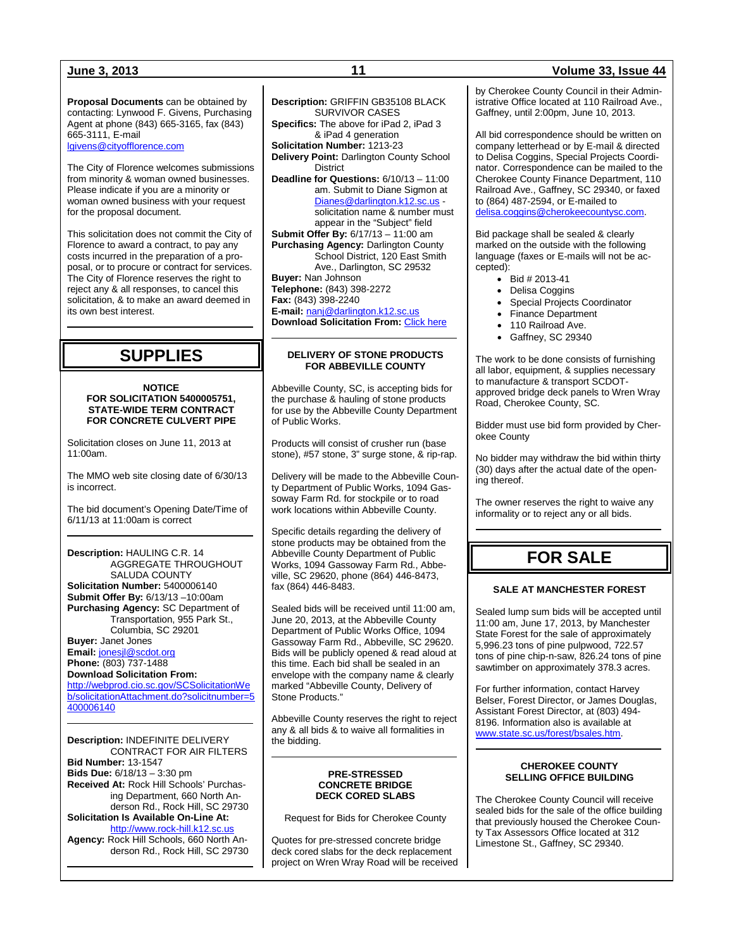**Proposal Documents** can be obtained by contacting: Lynwood F. Givens, Purchasing Agent at phone (843) 665-3165, fax (843) 665-3111, E-mail [lgivens@cityofflorence.com](mailto:lgivens@cityofflorence.com)

The City of Florence welcomes submissions from minority & woman owned businesses. Please indicate if you are a minority or woman owned business with your request for the proposal document.

This solicitation does not commit the City of Florence to award a contract, to pay any costs incurred in the preparation of a proposal, or to procure or contract for services. The City of Florence reserves the right to reject any & all responses, to cancel this solicitation, & to make an award deemed in its own best interest.

## **SUPPLIES**

#### **NOTICE FOR SOLICITATION 5400005751, STATE-WIDE TERM CONTRACT FOR CONCRETE CULVERT PIPE**

Solicitation closes on June 11, 2013 at 11:00am.

The MMO web site closing date of 6/30/13 is incorrect.

The bid document's Opening Date/Time of 6/11/13 at 11:00am is correct

**Description:** HAULING C.R. 14 AGGREGATE THROUGHOUT SALUDA COUNTY **Solicitation Number:** 5400006140 **Submit Offer By:** 6/13/13 –10:00am **Purchasing Agency:** SC Department of Transportation, 955 Park St., Columbia, SC 29201 **Buyer:** Janet Jones **Email:** [jonesjl@scdot.org](mailto:jonesjl@scdot.org) **Phone:** (803) 737-1488

### **Download Solicitation From:**

[http://webprod.cio.sc.gov/SCSolicitationWe](http://webprod.cio.sc.gov/SCSolicitationWeb/solicitationAttachment.do?solicitnumber=5400006140) [b/solicitationAttachment.do?solicitnumber=5](http://webprod.cio.sc.gov/SCSolicitationWeb/solicitationAttachment.do?solicitnumber=5400006140) [400006140](http://webprod.cio.sc.gov/SCSolicitationWeb/solicitationAttachment.do?solicitnumber=5400006140)

**Description:** INDEFINITE DELIVERY CONTRACT FOR AIR FILTERS **Bid Number:** 13-1547 **Bids Due:** 6/18/13 – 3:30 pm **Received At:** Rock Hill Schools' Purchasing Department, 660 North Anderson Rd., Rock Hill, SC 29730 **Solicitation Is Available On-Line At:** [http://www.rock-hill.k12.sc.us](http://www.rock-hill.k12.sc.us/) **Agency:** Rock Hill Schools, 660 North Anderson Rd., Rock Hill, SC 29730

**Description:** GRIFFIN GB35108 BLACK SURVIVOR CASES **Specifics:** The above for iPad 2, iPad 3 & iPad 4 generation **Solicitation Number:** 1213-23 **Delivery Point:** Darlington County School District **Deadline for Questions:** 6/10/13 – 11:00 am. Submit to Diane Sigmon at [Dianes@darlington.k12.sc.us](mailto:Dianes@darlington.k12.sc.us) solicitation name & number must appear in the "Subject" field **Submit Offer By:** 6/17/13 – 11:00 am **Purchasing Agency:** Darlington County School District, 120 East Smith Ave., Darlington, SC 29532 **Buyer:** Nan Johnson **Telephone:** (843) 398-2272 **Fax:** (843) 398-2240 **E-mail:** [nanj@darlington.k12.sc.us](mailto:nanj@darlington.k12.sc.us) **Download Solicitation From: [Click here](http://www.darlington.k12.sc.us/cms/One.aspx?portalId=3650066&pageId=4315423)** 

### **DELIVERY OF STONE PRODUCTS FOR ABBEVILLE COUNTY**

Abbeville County, SC, is accepting bids for the purchase & hauling of stone products for use by the Abbeville County Department of Public Works.

Products will consist of crusher run (base stone), #57 stone, 3" surge stone, & rip-rap.

Delivery will be made to the Abbeville County Department of Public Works, 1094 Gassoway Farm Rd. for stockpile or to road work locations within Abbeville County.

Specific details regarding the delivery of stone products may be obtained from the Abbeville County Department of Public Works, 1094 Gassoway Farm Rd., Abbeville, SC 29620, phone (864) 446-8473, fax (864) 446-8483.

Sealed bids will be received until 11:00 am June 20, 2013, at the Abbeville County Department of Public Works Office, 1094 Gassoway Farm Rd., Abbeville, SC 29620. Bids will be publicly opened & read aloud at this time. Each bid shall be sealed in an envelope with the company name & clearly marked "Abbeville County, Delivery of Stone Products."

Abbeville County reserves the right to reject any & all bids & to waive all formalities in the bidding.

#### **PRE-STRESSED CONCRETE BRIDGE DECK CORED SLABS**

Request for Bids for Cherokee County

Quotes for pre-stressed concrete bridge deck cored slabs for the deck replacement project on Wren Wray Road will be received

### **June 3, 2013 11 Volume 33, Issue 44**

by Cherokee County Council in their Administrative Office located at 110 Railroad Ave., Gaffney, until 2:00pm, June 10, 2013.

All bid correspondence should be written on company letterhead or by E-mail & directed to Delisa Coggins, Special Projects Coordinator. Correspondence can be mailed to the Cherokee County Finance Department, 110 Railroad Ave., Gaffney, SC 29340, or faxed to (864) 487-2594, or E-mailed to [delisa.coggins@cherokeecountysc.com.](mailto:delisa.coggins@cherokeecountysc.com)

Bid package shall be sealed & clearly marked on the outside with the following language (faxes or E-mails will not be accepted):

- Bid # 2013-41
- Delisa Coggins
- Special Projects Coordinator
- Finance Department
- 110 Railroad Ave.
- Gaffney, SC 29340

The work to be done consists of furnishing all labor, equipment, & supplies necessary to manufacture & transport SCDOTapproved bridge deck panels to Wren Wray Road, Cherokee County, SC.

Bidder must use bid form provided by Cherokee County

No bidder may withdraw the bid within thirty (30) days after the actual date of the opening thereof.

The owner reserves the right to waive any informality or to reject any or all bids.

## **FOR SALE**

### **SALE AT MANCHESTER FOREST**

Sealed lump sum bids will be accepted until 11:00 am, June 17, 2013, by Manchester State Forest for the sale of approximately 5,996.23 tons of pine pulpwood, 722.57 tons of pine chip-n-saw, 826.24 tons of pine sawtimber on approximately 378.3 acres.

For further information, contact Harvey Belser, Forest Director, or James Douglas, Assistant Forest Director, at (803) 494- 8196. Information also is available at [www.state.sc.us/forest/bsales.htm.](http://www.state.sc.us/forest/bsales.htm)

#### **CHEROKEE COUNTY SELLING OFFICE BUILDING**

The Cherokee County Council will receive sealed bids for the sale of the office building that previously housed the Cherokee County Tax Assessors Office located at 312 Limestone St., Gaffney, SC 29340.